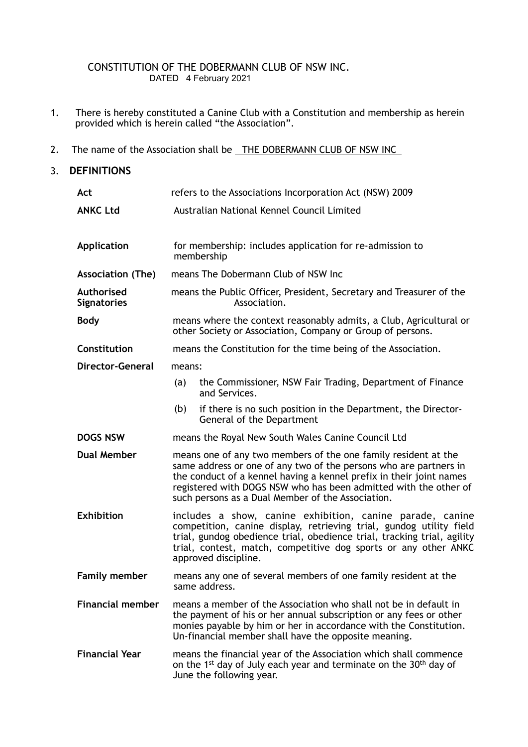## CONSTITUTION OF THE DOBERMANN CLUB OF NSW INC. DATED 4 February 2021

- 1. There is hereby constituted a Canine Club with a Constitution and membership as herein provided which is herein called "the Association".
- 2. The name of the Association shall be THE DOBERMANN CLUB OF NSW INC

# 3. **DEFINITIONS**

| Act                              | refers to the Associations Incorporation Act (NSW) 2009                                                                                                                                                                                                                                                                             |                                                                                            |  |
|----------------------------------|-------------------------------------------------------------------------------------------------------------------------------------------------------------------------------------------------------------------------------------------------------------------------------------------------------------------------------------|--------------------------------------------------------------------------------------------|--|
| <b>ANKC Ltd</b>                  | Australian National Kennel Council Limited                                                                                                                                                                                                                                                                                          |                                                                                            |  |
| <b>Application</b>               | for membership: includes application for re-admission to<br>membership                                                                                                                                                                                                                                                              |                                                                                            |  |
| <b>Association (The)</b>         | means The Dobermann Club of NSW Inc                                                                                                                                                                                                                                                                                                 |                                                                                            |  |
| Authorised<br><b>Signatories</b> | means the Public Officer, President, Secretary and Treasurer of the<br>Association.                                                                                                                                                                                                                                                 |                                                                                            |  |
| <b>Body</b>                      | means where the context reasonably admits, a Club, Agricultural or<br>other Society or Association, Company or Group of persons.                                                                                                                                                                                                    |                                                                                            |  |
| Constitution                     | means the Constitution for the time being of the Association.                                                                                                                                                                                                                                                                       |                                                                                            |  |
| <b>Director-General</b>          | means:                                                                                                                                                                                                                                                                                                                              |                                                                                            |  |
|                                  | (a)                                                                                                                                                                                                                                                                                                                                 | the Commissioner, NSW Fair Trading, Department of Finance<br>and Services.                 |  |
|                                  | (b)                                                                                                                                                                                                                                                                                                                                 | if there is no such position in the Department, the Director-<br>General of the Department |  |
| <b>DOGS NSW</b>                  | means the Royal New South Wales Canine Council Ltd                                                                                                                                                                                                                                                                                  |                                                                                            |  |
| <b>Dual Member</b>               | means one of any two members of the one family resident at the<br>same address or one of any two of the persons who are partners in<br>the conduct of a kennel having a kennel prefix in their joint names<br>registered with DOGS NSW who has been admitted with the other of<br>such persons as a Dual Member of the Association. |                                                                                            |  |
| <b>Exhibition</b>                | includes a show, canine exhibition, canine parade, canine<br>competition, canine display, retrieving trial, gundog utility field<br>trial, gundog obedience trial, obedience trial, tracking trial, agility<br>trial, contest, match, competitive dog sports or any other ANKC<br>approved discipline.                              |                                                                                            |  |
| <b>Family member</b>             | means any one of several members of one family resident at the<br>same address.                                                                                                                                                                                                                                                     |                                                                                            |  |
| <b>Financial member</b>          | means a member of the Association who shall not be in default in<br>the payment of his or her annual subscription or any fees or other<br>monies payable by him or her in accordance with the Constitution.<br>Un-financial member shall have the opposite meaning.                                                                 |                                                                                            |  |
| <b>Financial Year</b>            | means the financial year of the Association which shall commence<br>on the 1 <sup>st</sup> day of July each year and terminate on the 30 <sup>th</sup> day of<br>June the following year.                                                                                                                                           |                                                                                            |  |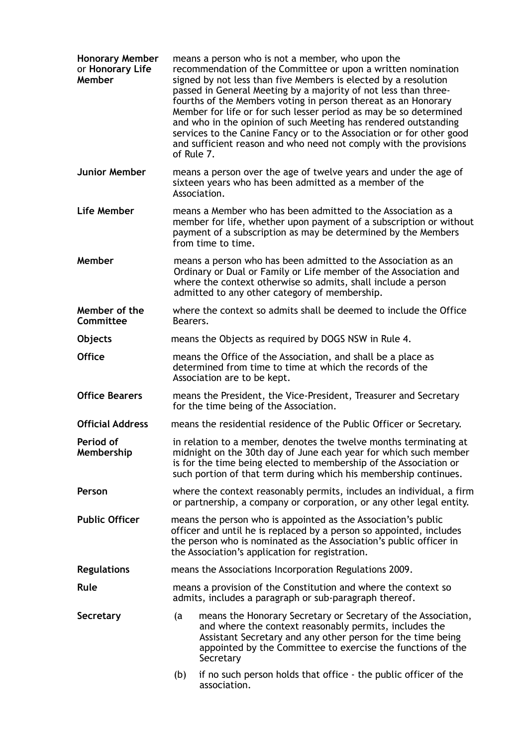| <b>Honorary Member</b><br>or Honorary Life<br>Member | means a person who is not a member, who upon the<br>recommendation of the Committee or upon a written nomination<br>signed by not less than five Members is elected by a resolution<br>passed in General Meeting by a majority of not less than three-<br>fourths of the Members voting in person thereat as an Honorary<br>Member for life or for such lesser period as may be so determined<br>and who in the opinion of such Meeting has rendered outstanding<br>services to the Canine Fancy or to the Association or for other good<br>and sufficient reason and who need not comply with the provisions<br>of Rule 7. |                                                                                                                                                                                                                                                                    |  |
|------------------------------------------------------|-----------------------------------------------------------------------------------------------------------------------------------------------------------------------------------------------------------------------------------------------------------------------------------------------------------------------------------------------------------------------------------------------------------------------------------------------------------------------------------------------------------------------------------------------------------------------------------------------------------------------------|--------------------------------------------------------------------------------------------------------------------------------------------------------------------------------------------------------------------------------------------------------------------|--|
| <b>Junior Member</b>                                 | means a person over the age of twelve years and under the age of<br>sixteen years who has been admitted as a member of the<br>Association.                                                                                                                                                                                                                                                                                                                                                                                                                                                                                  |                                                                                                                                                                                                                                                                    |  |
| Life Member                                          | means a Member who has been admitted to the Association as a<br>member for life, whether upon payment of a subscription or without<br>payment of a subscription as may be determined by the Members<br>from time to time.                                                                                                                                                                                                                                                                                                                                                                                                   |                                                                                                                                                                                                                                                                    |  |
| Member                                               | means a person who has been admitted to the Association as an<br>Ordinary or Dual or Family or Life member of the Association and<br>where the context otherwise so admits, shall include a person<br>admitted to any other category of membership.                                                                                                                                                                                                                                                                                                                                                                         |                                                                                                                                                                                                                                                                    |  |
| Member of the<br>Committee                           | where the context so admits shall be deemed to include the Office<br>Bearers.                                                                                                                                                                                                                                                                                                                                                                                                                                                                                                                                               |                                                                                                                                                                                                                                                                    |  |
| Objects                                              | means the Objects as required by DOGS NSW in Rule 4.                                                                                                                                                                                                                                                                                                                                                                                                                                                                                                                                                                        |                                                                                                                                                                                                                                                                    |  |
| <b>Office</b>                                        | means the Office of the Association, and shall be a place as<br>determined from time to time at which the records of the<br>Association are to be kept.                                                                                                                                                                                                                                                                                                                                                                                                                                                                     |                                                                                                                                                                                                                                                                    |  |
| <b>Office Bearers</b>                                | means the President, the Vice-President, Treasurer and Secretary<br>for the time being of the Association.                                                                                                                                                                                                                                                                                                                                                                                                                                                                                                                  |                                                                                                                                                                                                                                                                    |  |
| <b>Official Address</b>                              | means the residential residence of the Public Officer or Secretary.                                                                                                                                                                                                                                                                                                                                                                                                                                                                                                                                                         |                                                                                                                                                                                                                                                                    |  |
| Period of<br>Membership                              | in relation to a member, denotes the twelve months terminating at<br>midnight on the 30th day of June each year for which such member<br>is for the time being elected to membership of the Association or<br>such portion of that term during which his membership continues.                                                                                                                                                                                                                                                                                                                                              |                                                                                                                                                                                                                                                                    |  |
| Person                                               | where the context reasonably permits, includes an individual, a firm<br>or partnership, a company or corporation, or any other legal entity.                                                                                                                                                                                                                                                                                                                                                                                                                                                                                |                                                                                                                                                                                                                                                                    |  |
| <b>Public Officer</b>                                | means the person who is appointed as the Association's public<br>officer and until he is replaced by a person so appointed, includes<br>the person who is nominated as the Association's public officer in<br>the Association's application for registration.                                                                                                                                                                                                                                                                                                                                                               |                                                                                                                                                                                                                                                                    |  |
| <b>Regulations</b>                                   | means the Associations Incorporation Regulations 2009.                                                                                                                                                                                                                                                                                                                                                                                                                                                                                                                                                                      |                                                                                                                                                                                                                                                                    |  |
| Rule                                                 | means a provision of the Constitution and where the context so<br>admits, includes a paragraph or sub-paragraph thereof.                                                                                                                                                                                                                                                                                                                                                                                                                                                                                                    |                                                                                                                                                                                                                                                                    |  |
| Secretary                                            | (a                                                                                                                                                                                                                                                                                                                                                                                                                                                                                                                                                                                                                          | means the Honorary Secretary or Secretary of the Association,<br>and where the context reasonably permits, includes the<br>Assistant Secretary and any other person for the time being<br>appointed by the Committee to exercise the functions of the<br>Secretary |  |
|                                                      | (b)                                                                                                                                                                                                                                                                                                                                                                                                                                                                                                                                                                                                                         | if no such person holds that office - the public officer of the<br>association.                                                                                                                                                                                    |  |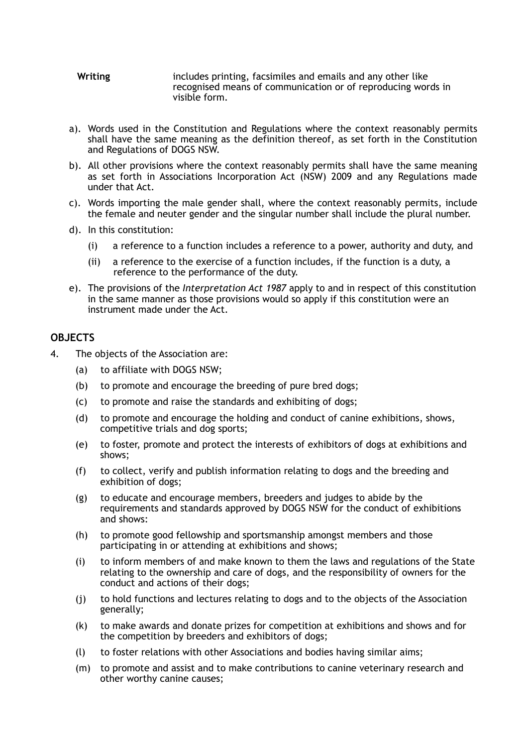- **Writing** includes printing, facsimiles and emails and any other like recognised means of communication or of reproducing words in visible form.
- a). Words used in the Constitution and Regulations where the context reasonably permits shall have the same meaning as the definition thereof, as set forth in the Constitution and Regulations of DOGS NSW.
- b). All other provisions where the context reasonably permits shall have the same meaning as set forth in Associations Incorporation Act (NSW) 2009 and any Regulations made under that Act.
- c). Words importing the male gender shall, where the context reasonably permits, include the female and neuter gender and the singular number shall include the plural number.
- d). In this constitution:
	- (i) a reference to a function includes a reference to a power, authority and duty, and
	- (ii) a reference to the exercise of a function includes, if the function is a duty, a reference to the performance of the duty.
- e). The provisions of the *[Interpretation Act 1987](http://www.legislation.nsw.gov.au/xref/inforce/?xref=Type%253Dact%2520AND%2520Year%253D1987%2520AND%2520no%253D15&nohits=y)* apply to and in respect of this constitution in the same manner as those provisions would so apply if this constitution were an instrument made under the Act.

## **OBJECTS**

- 4. The objects of the Association are:
	- (a) to affiliate with DOGS NSW;
	- (b) to promote and encourage the breeding of pure bred dogs;
	- (c) to promote and raise the standards and exhibiting of dogs;
	- (d) to promote and encourage the holding and conduct of canine exhibitions, shows, competitive trials and dog sports;
	- (e) to foster, promote and protect the interests of exhibitors of dogs at exhibitions and shows;
	- (f) to collect, verify and publish information relating to dogs and the breeding and exhibition of dogs;
	- (g) to educate and encourage members, breeders and judges to abide by the requirements and standards approved by DOGS NSW for the conduct of exhibitions and shows:
	- (h) to promote good fellowship and sportsmanship amongst members and those participating in or attending at exhibitions and shows;
	- (i) to inform members of and make known to them the laws and regulations of the State relating to the ownership and care of dogs, and the responsibility of owners for the conduct and actions of their dogs;
	- (j) to hold functions and lectures relating to dogs and to the objects of the Association generally;
	- (k) to make awards and donate prizes for competition at exhibitions and shows and for the competition by breeders and exhibitors of dogs;
	- (l) to foster relations with other Associations and bodies having similar aims;
	- (m) to promote and assist and to make contributions to canine veterinary research and other worthy canine causes;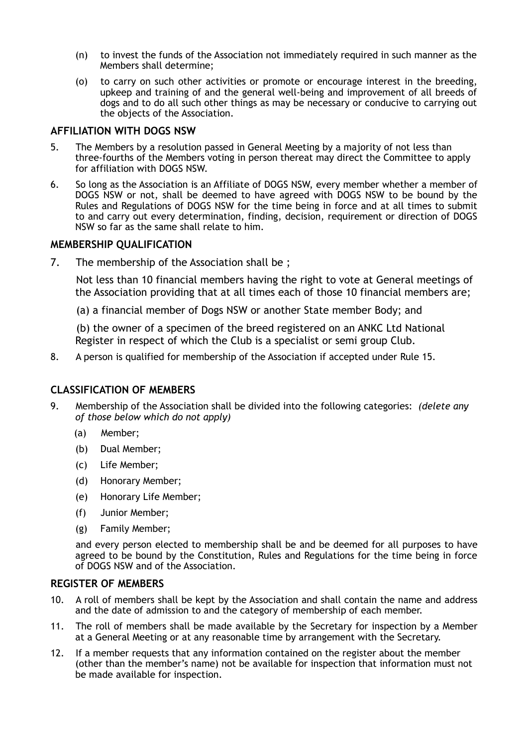- (n) to invest the funds of the Association not immediately required in such manner as the Members shall determine;
- (o) to carry on such other activities or promote or encourage interest in the breeding, upkeep and training of and the general well-being and improvement of all breeds of dogs and to do all such other things as may be necessary or conducive to carrying out the objects of the Association.

## **AFFILIATION WITH DOGS NSW**

- 5. The Members by a resolution passed in General Meeting by a majority of not less than three-fourths of the Members voting in person thereat may direct the Committee to apply for affiliation with DOGS NSW.
- 6. So long as the Association is an Affiliate of DOGS NSW, every member whether a member of DOGS NSW or not, shall be deemed to have agreed with DOGS NSW to be bound by the Rules and Regulations of DOGS NSW for the time being in force and at all times to submit to and carry out every determination, finding, decision, requirement or direction of DOGS NSW so far as the same shall relate to him.

## **MEMBERSHIP QUALIFICATION**

7. The membership of the Association shall be ;

 Not less than 10 financial members having the right to vote at General meetings of the Association providing that at all times each of those 10 financial members are;

(a) a financial member of Dogs NSW or another State member Body; and

 (b) the owner of a specimen of the breed registered on an ANKC Ltd National Register in respect of which the Club is a specialist or semi group Club.

8. A person is qualified for membership of the Association if accepted under Rule 15.

## **CLASSIFICATION OF MEMBERS**

- 9. Membership of the Association shall be divided into the following categories: *(delete any of those below which do not apply)*
	- (a) Member;
	- (b) Dual Member;
	- (c) Life Member;
	- (d) Honorary Member;
	- (e) Honorary Life Member;
	- (f) Junior Member;
	- (g) Family Member;

 and every person elected to membership shall be and be deemed for all purposes to have agreed to be bound by the Constitution, Rules and Regulations for the time being in force of DOGS NSW and of the Association.

### **REGISTER OF MEMBERS**

- 10. A roll of members shall be kept by the Association and shall contain the name and address and the date of admission to and the category of membership of each member.
- 11. The roll of members shall be made available by the Secretary for inspection by a Member at a General Meeting or at any reasonable time by arrangement with the Secretary.
- 12. If a member requests that any information contained on the register about the member (other than the member's name) not be available for inspection that information must not be made available for inspection.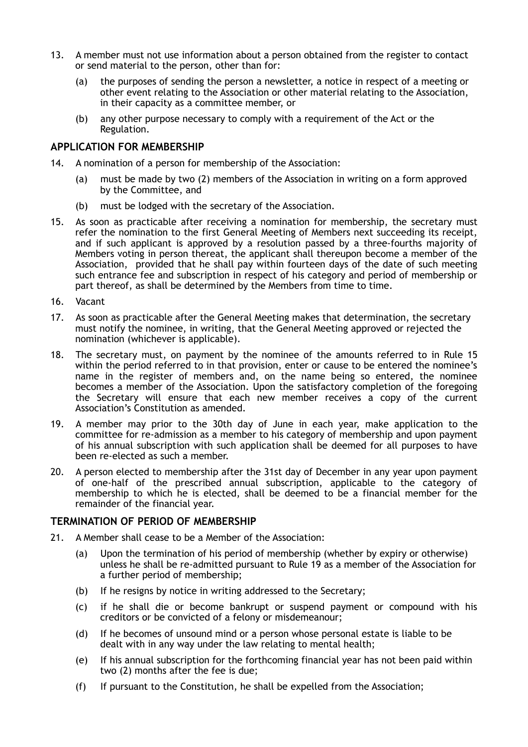- 13. A member must not use information about a person obtained from the register to contact or send material to the person, other than for:
	- (a) the purposes of sending the person a newsletter, a notice in respect of a meeting or other event relating to the Association or other material relating to the Association, in their capacity as a committee member, or
	- (b) any other purpose necessary to comply with a requirement of the Act or the Regulation.

### **APPLICATION FOR MEMBERSHIP**

- 14. A nomination of a person for membership of the Association:
	- (a) must be made by two (2) members of the Association in writing on a form approved by the Committee, and
	- (b) must be lodged with the secretary of the Association.
- 15. As soon as practicable after receiving a nomination for membership, the secretary must refer the nomination to the first General Meeting of Members next succeeding its receipt, and if such applicant is approved by a resolution passed by a three-fourths majority of Members voting in person thereat, the applicant shall thereupon become a member of the Association, provided that he shall pay within fourteen days of the date of such meeting such entrance fee and subscription in respect of his category and period of membership or part thereof, as shall be determined by the Members from time to time.
- 16. Vacant
- 17. As soon as practicable after the General Meeting makes that determination, the secretary must notify the nominee, in writing, that the General Meeting approved or rejected the nomination (whichever is applicable).
- 18. The secretary must, on payment by the nominee of the amounts referred to in Rule 15 within the period referred to in that provision, enter or cause to be entered the nominee's name in the register of members and, on the name being so entered, the nominee becomes a member of the Association. Upon the satisfactory completion of the foregoing the Secretary will ensure that each new member receives a copy of the current Association's Constitution as amended.
- 19. A member may prior to the 30th day of June in each year, make application to the committee for re-admission as a member to his category of membership and upon payment of his annual subscription with such application shall be deemed for all purposes to have been re-elected as such a member.
- 20. A person elected to membership after the 31st day of December in any year upon payment of one-half of the prescribed annual subscription, applicable to the category of membership to which he is elected, shall be deemed to be a financial member for the remainder of the financial year.

## **TERMINATION OF PERIOD OF MEMBERSHIP**

- 21. A Member shall cease to be a Member of the Association:
	- (a) Upon the termination of his period of membership (whether by expiry or otherwise) unless he shall be re-admitted pursuant to Rule 19 as a member of the Association for a further period of membership;
	- (b) If he resigns by notice in writing addressed to the Secretary;
	- (c) if he shall die or become bankrupt or suspend payment or compound with his creditors or be convicted of a felony or misdemeanour;
	- (d) If he becomes of unsound mind or a person whose personal estate is liable to be dealt with in any way under the law relating to mental health;
	- (e) If his annual subscription for the forthcoming financial year has not been paid within two (2) months after the fee is due;
	- (f) If pursuant to the Constitution, he shall be expelled from the Association;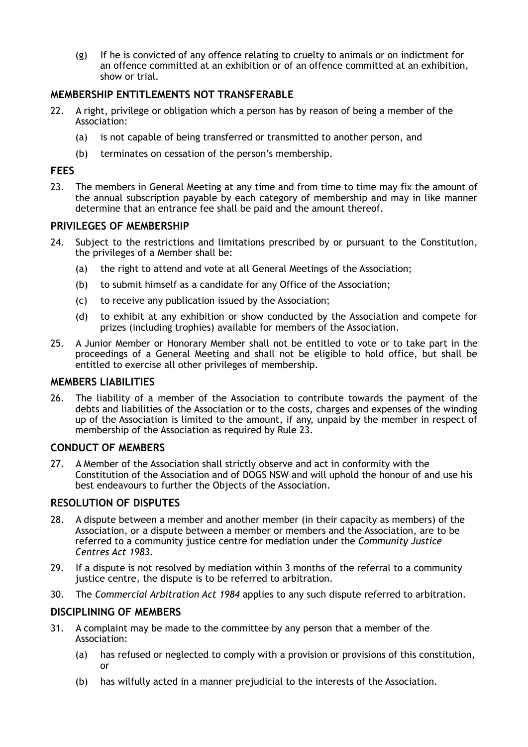(g) If he is convicted of any offence relating to cruelty to animals or on indictment for an offence committed at an exhibition or of an offence committed at an exhibition, show or trial.

# **MEMBERSHIP ENTITLEMENTS NOT TRANSFERABLE**

- 22. A right, privilege or obligation which a person has by reason of being a member of the Association:
	- (a) is not capable of being transferred or transmitted to another person, and
	- (b) terminates on cessation of the person's membership.

## **FEES**

23. The members in General Meeting at any time and from time to time may fix the amount of the annual subscription payable by each category of membership and may in like manner determine that an entrance fee shall be paid and the amount thereof.

## **PRIVILEGES OF MEMBERSHIP**

- 24. Subject to the restrictions and limitations prescribed by or pursuant to the Constitution, the privileges of a Member shall be:
	- (a) the right to attend and vote at all General Meetings of the Association;
	- (b) to submit himself as a candidate for any Office of the Association;
	- (c) to receive any publication issued by the Association;
	- (d) to exhibit at any exhibition or show conducted by the Association and compete for prizes (including trophies) available for members of the Association.
- 25. A Junior Member or Honorary Member shall not be entitled to vote or to take part in the proceedings of a General Meeting and shall not be eligible to hold office, but shall be entitled to exercise all other privileges of membership.

## **MEMBERS LIABILITIES**

26. The liability of a member of the Association to contribute towards the payment of the debts and liabilities of the Association or to the costs, charges and expenses of the winding up of the Association is limited to the amount, if any, unpaid by the member in respect of membership of the Association as required by Rule 23.

## **CONDUCT OF MEMBERS**

27. A Member of the Association shall strictly observe and act in conformity with the Constitution of the Association and of DOGS NSW and will uphold the honour of and use his best endeavours to further the Objects of the Association.

## **RESOLUTION OF DISPUTES**

- 28. A dispute between a member and another member (in their capacity as members) of the Association, or a dispute between a member or members and the Association, are to be [referred to a community justice centre for mediation under the](http://www.legislation.nsw.gov.au/xref/inforce/?xref=Type%253Dact%2520AND%2520Year%253D1983%2520AND%2520no%253D127&nohits=y) *Community Justice Centres Act 1983*.
- 29. If a dispute is not resolved by mediation within 3 months of the referral to a community justice centre, the dispute is to be referred to arbitration.
- 30. The *[Commercial Arbitration Act 1984](http://www.legislation.nsw.gov.au/xref/inforce/?xref=Type%253Dact%2520AND%2520Year%253D1984%2520AND%2520no%253D160&nohits=y)* applies to any such dispute referred to arbitration.

## **DISCIPLINING OF MEMBERS**

- 31. A complaint may be made to the committee by any person that a member of the Association:
	- (a) has refused or neglected to comply with a provision or provisions of this constitution, or
	- (b) has wilfully acted in a manner prejudicial to the interests of the Association.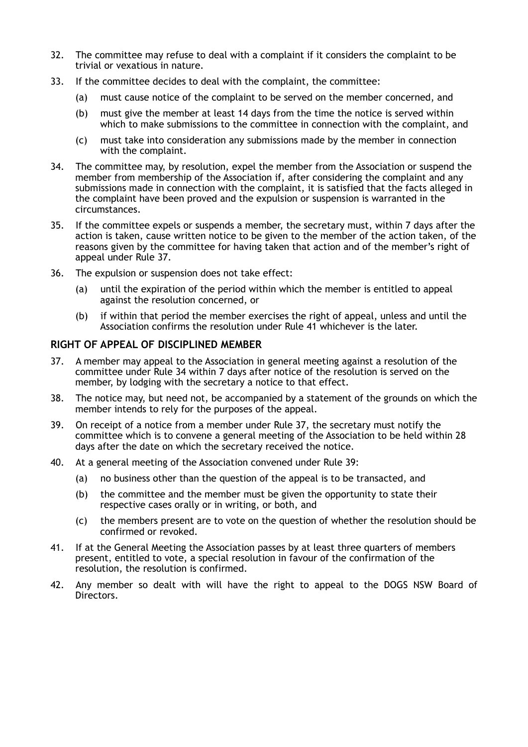- 32. The committee may refuse to deal with a complaint if it considers the complaint to be trivial or vexatious in nature.
- 33. If the committee decides to deal with the complaint, the committee:
	- (a) must cause notice of the complaint to be served on the member concerned, and
	- (b) must give the member at least 14 days from the time the notice is served within which to make submissions to the committee in connection with the complaint, and
	- (c) must take into consideration any submissions made by the member in connection with the complaint.
- 34. The committee may, by resolution, expel the member from the Association or suspend the member from membership of the Association if, after considering the complaint and any submissions made in connection with the complaint, it is satisfied that the facts alleged in the complaint have been proved and the expulsion or suspension is warranted in the circumstances.
- 35. If the committee expels or suspends a member, the secretary must, within 7 days after the action is taken, cause written notice to be given to the member of the action taken, of the reasons given by the committee for having taken that action and of the member's right of appeal under Rule 37.
- 36. The expulsion or suspension does not take effect:
	- (a) until the expiration of the period within which the member is entitled to appeal against the resolution concerned, or
	- (b) if within that period the member exercises the right of appeal, unless and until the Association confirms the resolution under Rule 41 whichever is the later.

## **RIGHT OF APPEAL OF DISCIPLINED MEMBER**

- 37. A member may appeal to the Association in general meeting against a resolution of the committee under Rule 34 within 7 days after notice of the resolution is served on the member, by lodging with the secretary a notice to that effect.
- 38. The notice may, but need not, be accompanied by a statement of the grounds on which the member intends to rely for the purposes of the appeal.
- 39. On receipt of a notice from a member under Rule 37, the secretary must notify the committee which is to convene a general meeting of the Association to be held within 28 days after the date on which the secretary received the notice.
- 40. At a general meeting of the Association convened under Rule 39:
	- (a) no business other than the question of the appeal is to be transacted, and
	- (b) the committee and the member must be given the opportunity to state their respective cases orally or in writing, or both, and
	- (c) the members present are to vote on the question of whether the resolution should be confirmed or revoked.
- 41. If at the General Meeting the Association passes by at least three quarters of members present, entitled to vote, a special resolution in favour of the confirmation of the resolution, the resolution is confirmed.
- 42. Any member so dealt with will have the right to appeal to the DOGS NSW Board of Directors.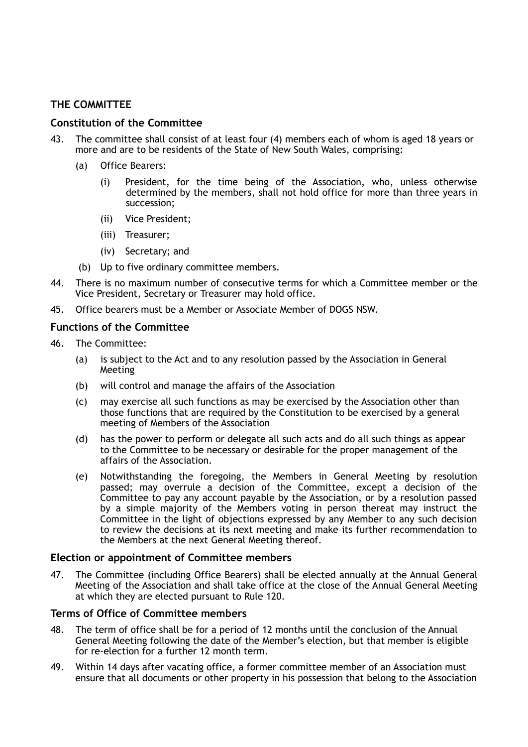# **THE COMMITTEE**

## **Constitution of the Committee**

- 43. The committee shall consist of at least four (4) members each of whom is aged 18 years or more and are to be residents of the State of New South Wales, comprising:
	- (a) Office Bearers:
		- (i) President, for the time being of the Association, who, unless otherwise determined by the members, shall not hold office for more than three years in succession;
		- (ii) Vice President;
		- (iii) Treasurer;
		- (iv) Secretary; and
	- (b) Up to five ordinary committee members.
- 44. There is no maximum number of consecutive terms for which a Committee member or the Vice President, Secretary or Treasurer may hold office.
- 45. Office bearers must be a Member or Associate Member of DOGS NSW.

## **Functions of the Committee**

- 46. The Committee:
	- (a) is subject to the Act and to any resolution passed by the Association in General Meeting
	- (b) will control and manage the affairs of the Association
	- (c) may exercise all such functions as may be exercised by the Association other than those functions that are required by the Constitution to be exercised by a general meeting of Members of the Association
	- (d) has the power to perform or delegate all such acts and do all such things as appear to the Committee to be necessary or desirable for the proper management of the affairs of the Association.
	- (e) Notwithstanding the foregoing, the Members in General Meeting by resolution passed; may overrule a decision of the Committee, except a decision of the Committee to pay any account payable by the Association, or by a resolution passed by a simple majority of the Members voting in person thereat may instruct the Committee in the light of objections expressed by any Member to any such decision to review the decisions at its next meeting and make its further recommendation to the Members at the next General Meeting thereof.

#### **Election or appointment of Committee members**

47. The Committee (including Office Bearers) shall be elected annually at the Annual General Meeting of the Association and shall take office at the close of the Annual General Meeting at which they are elected pursuant to Rule 120.

## **Terms of Office of Committee members**

- 48. The term of office shall be for a period of 12 months until the conclusion of the Annual General Meeting following the date of the Member's election, but that member is eligible for re-election for a further 12 month term.
- 49. Within 14 days after vacating office, a former committee member of an Association must ensure that all documents or other property in his possession that belong to the Association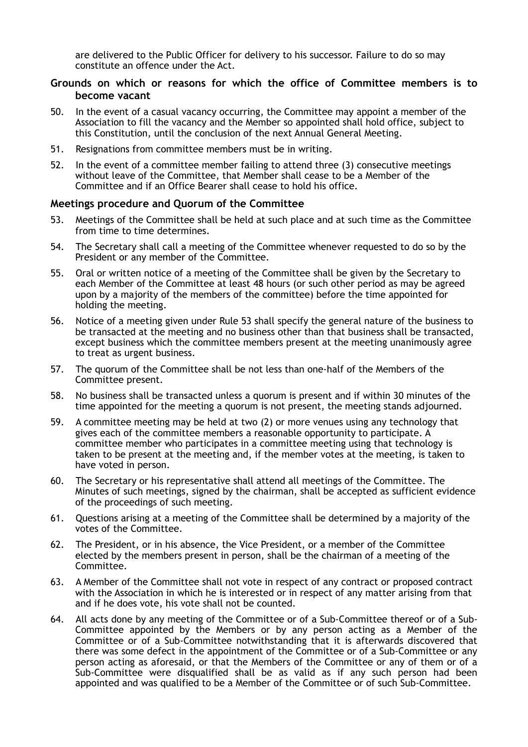are delivered to the Public Officer for delivery to his successor. Failure to do so may constitute an offence under the Act.

## **Grounds on which or reasons for which the office of Committee members is to become vacant**

- 50. In the event of a casual vacancy occurring, the Committee may appoint a member of the Association to fill the vacancy and the Member so appointed shall hold office, subject to this Constitution, until the conclusion of the next Annual General Meeting.
- 51. Resignations from committee members must be in writing.
- 52. In the event of a committee member failing to attend three (3) consecutive meetings without leave of the Committee, that Member shall cease to be a Member of the Committee and if an Office Bearer shall cease to hold his office.

## **Meetings procedure and Quorum of the Committee**

- 53. Meetings of the Committee shall be held at such place and at such time as the Committee from time to time determines.
- 54. The Secretary shall call a meeting of the Committee whenever requested to do so by the President or any member of the Committee.
- 55. Oral or written notice of a meeting of the Committee shall be given by the Secretary to each Member of the Committee at least 48 hours (or such other period as may be agreed upon by a majority of the members of the committee) before the time appointed for holding the meeting.
- 56. Notice of a meeting given under Rule 53 shall specify the general nature of the business to be transacted at the meeting and no business other than that business shall be transacted, except business which the committee members present at the meeting unanimously agree to treat as urgent business.
- 57. The quorum of the Committee shall be not less than one-half of the Members of the Committee present.
- 58. No business shall be transacted unless a quorum is present and if within 30 minutes of the time appointed for the meeting a quorum is not present, the meeting stands adjourned.
- 59. A [committee](http://www.austlii.edu.au/au/legis/nsw/consol_act/aia2009307/s4.html#committee) meeting may be held at two (2) or more venues using any technology that gives each of the [committee members](http://www.austlii.edu.au/au/legis/nsw/consol_act/aia2009307/s4.html#committee_member) a reasonable opportunity to participate. A committee member who participates in a committee meeting using that technology is taken to be present at the meeting and, if the member votes at the meeting, is taken to have voted in person.
- 60. The Secretary or his representative shall attend all meetings of the Committee. The Minutes of such meetings, signed by the chairman, shall be accepted as sufficient evidence of the proceedings of such meeting.
- 61. Questions arising at a meeting of the Committee shall be determined by a majority of the votes of the Committee.
- 62. The President, or in his absence, the Vice President, or a member of the Committee elected by the members present in person, shall be the chairman of a meeting of the Committee.
- 63. A Member of the Committee shall not vote in respect of any contract or proposed contract with the Association in which he is interested or in respect of any matter arising from that and if he does vote, his vote shall not be counted.
- 64. All acts done by any meeting of the Committee or of a Sub-Committee thereof or of a Sub-Committee appointed by the Members or by any person acting as a Member of the Committee or of a Sub-Committee notwithstanding that it is afterwards discovered that there was some defect in the appointment of the Committee or of a Sub-Committee or any person acting as aforesaid, or that the Members of the Committee or any of them or of a Sub-Committee were disqualified shall be as valid as if any such person had been appointed and was qualified to be a Member of the Committee or of such Sub-Committee.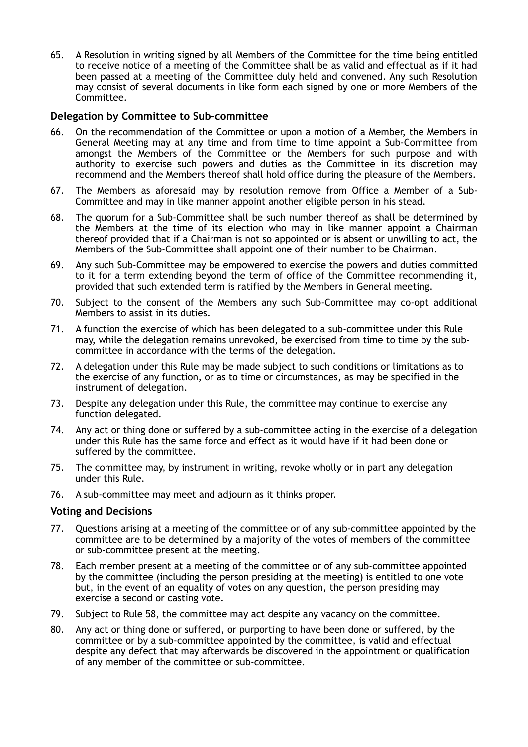65. A Resolution in writing signed by all Members of the Committee for the time being entitled to receive notice of a meeting of the Committee shall be as valid and effectual as if it had been passed at a meeting of the Committee duly held and convened. Any such Resolution may consist of several documents in like form each signed by one or more Members of the Committee.

## **Delegation by Committee to Sub-committee**

- 66. On the recommendation of the Committee or upon a motion of a Member, the Members in General Meeting may at any time and from time to time appoint a Sub-Committee from amongst the Members of the Committee or the Members for such purpose and with authority to exercise such powers and duties as the Committee in its discretion may recommend and the Members thereof shall hold office during the pleasure of the Members.
- 67. The Members as aforesaid may by resolution remove from Office a Member of a Sub-Committee and may in like manner appoint another eligible person in his stead.
- 68. The quorum for a Sub-Committee shall be such number thereof as shall be determined by the Members at the time of its election who may in like manner appoint a Chairman thereof provided that if a Chairman is not so appointed or is absent or unwilling to act, the Members of the Sub-Committee shall appoint one of their number to be Chairman.
- 69. Any such Sub-Committee may be empowered to exercise the powers and duties committed to it for a term extending beyond the term of office of the Committee recommending it, provided that such extended term is ratified by the Members in General meeting.
- 70. Subject to the consent of the Members any such Sub-Committee may co-opt additional Members to assist in its duties.
- 71. A function the exercise of which has been delegated to a sub-committee under this Rule may, while the delegation remains unrevoked, be exercised from time to time by the subcommittee in accordance with the terms of the delegation.
- 72. A delegation under this Rule may be made subject to such conditions or limitations as to the exercise of any function, or as to time or circumstances, as may be specified in the instrument of delegation.
- 73. Despite any delegation under this Rule, the committee may continue to exercise any function delegated.
- 74. Any act or thing done or suffered by a sub-committee acting in the exercise of a delegation under this Rule has the same force and effect as it would have if it had been done or suffered by the committee.
- 75. The committee may, by instrument in writing, revoke wholly or in part any delegation under this Rule.
- 76. A sub-committee may meet and adjourn as it thinks proper.

## **Voting and Decisions**

- 77. Questions arising at a meeting of the committee or of any sub-committee appointed by the committee are to be determined by a majority of the votes of members of the committee or sub-committee present at the meeting.
- 78. Each member present at a meeting of the committee or of any sub-committee appointed by the committee (including the person presiding at the meeting) is entitled to one vote but, in the event of an equality of votes on any question, the person presiding may exercise a second or casting vote.
- 79. Subject to Rule 58, the committee may act despite any vacancy on the committee.
- 80. Any act or thing done or suffered, or purporting to have been done or suffered, by the committee or by a sub-committee appointed by the committee, is valid and effectual despite any defect that may afterwards be discovered in the appointment or qualification of any member of the committee or sub-committee.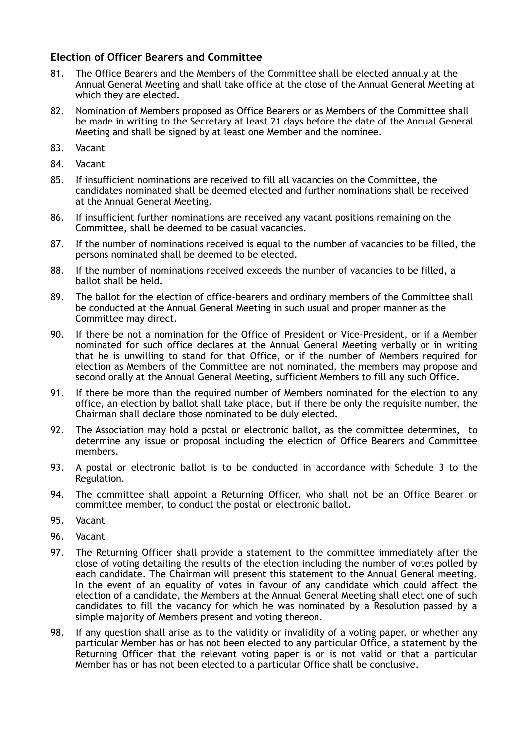# **Election of Officer Bearers and Committee**

- 81. The Office Bearers and the Members of the Committee shall be elected annually at the Annual General Meeting and shall take office at the close of the Annual General Meeting at which they are elected.
- 82. Nomination of Members proposed as Office Bearers or as Members of the Committee shall be made in writing to the Secretary at least 21 days before the date of the Annual General Meeting and shall be signed by at least one Member and the nominee.
- 83. Vacant
- 84. Vacant
- 85. If insufficient nominations are received to fill all vacancies on the Committee, the candidates nominated shall be deemed elected and further nominations shall be received at the Annual General Meeting.
- 86. If insufficient further nominations are received any vacant positions remaining on the Committee, shall be deemed to be casual vacancies.
- 87. If the number of nominations received is equal to the number of vacancies to be filled, the persons nominated shall be deemed to be elected.
- 88. If the number of nominations received exceeds the number of vacancies to be filled, a ballot shall be held.
- 89. The ballot for the election of office-bearers and ordinary members of the Committee shall be conducted at the Annual General Meeting in such usual and proper manner as the Committee may direct.
- 90. If there be not a nomination for the Office of President or Vice-President, or if a Member nominated for such office declares at the Annual General Meeting verbally or in writing that he is unwilling to stand for that Office, or if the number of Members required for election as Members of the Committee are not nominated, the members may propose and second orally at the Annual General Meeting, sufficient Members to fill any such Office.
- 91. If there be more than the required number of Members nominated for the election to any office, an election by ballot shall take place, but if there be only the requisite number, the Chairman shall declare those nominated to be duly elected.
- 92. The Association may hold a postal or electronic ballot, as the committee determines, to determine any issue or proposal including the election of Office Bearers and Committee members.
- 93. A postal or electronic ballot is to be conducted in accordance with Schedule 3 to the Regulation.
- 94. The committee shall appoint a Returning Officer, who shall not be an Office Bearer or committee member, to conduct the postal or electronic ballot.
- 95. Vacant
- 96. Vacant
- 97. The Returning Officer shall provide a statement to the committee immediately after the close of voting detailing the results of the election including the number of votes polled by each candidate. The Chairman will present this statement to the Annual General meeting. In the event of an equality of votes in favour of any candidate which could affect the election of a candidate, the Members at the Annual General Meeting shall elect one of such candidates to fill the vacancy for which he was nominated by a Resolution passed by a simple majority of Members present and voting thereon.
- 98. If any question shall arise as to the validity or invalidity of a voting paper, or whether any particular Member has or has not been elected to any particular Office, a statement by the Returning Officer that the relevant voting paper is or is not valid or that a particular Member has or has not been elected to a particular Office shall be conclusive.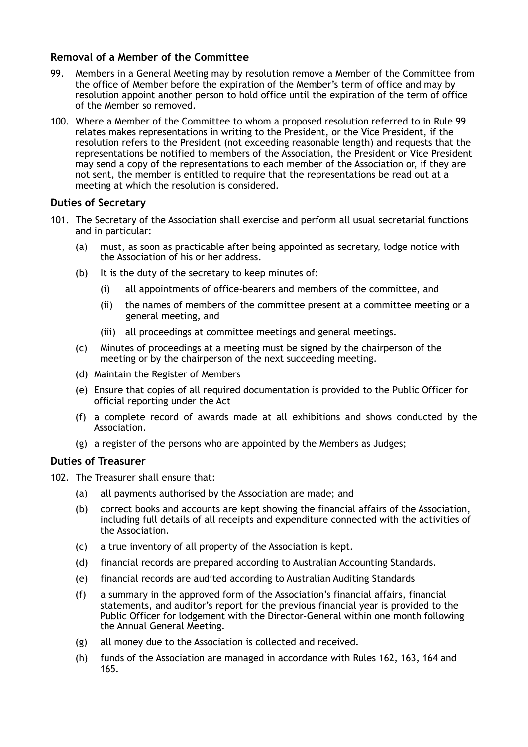## **Removal of a Member of the Committee**

- 99. Members in a General Meeting may by resolution remove a Member of the Committee from the office of Member before the expiration of the Member's term of office and may by resolution appoint another person to hold office until the expiration of the term of office of the Member so removed.
- 100. Where a Member of the Committee to whom a proposed resolution referred to in Rule 99 relates makes representations in writing to the President, or the Vice President, if the resolution refers to the President (not exceeding reasonable length) and requests that the representations be notified to members of the Association, the President or Vice President may send a copy of the representations to each member of the Association or, if they are not sent, the member is entitled to require that the representations be read out at a meeting at which the resolution is considered.

## **Duties of Secretary**

- 101. The Secretary of the Association shall exercise and perform all usual secretarial functions and in particular:
	- (a) must, as soon as practicable after being appointed as secretary, lodge notice with the Association of his or her address.
	- (b) It is the duty of the secretary to keep minutes of:
		- (i) all appointments of office-bearers and members of the committee, and
		- (ii) the names of members of the committee present at a committee meeting or a general meeting, and
		- (iii) all proceedings at committee meetings and general meetings.
	- (c) Minutes of proceedings at a meeting must be signed by the chairperson of the meeting or by the chairperson of the next succeeding meeting.
	- (d) Maintain the Register of Members
	- (e) Ensure that copies of all required documentation is provided to the Public Officer for official reporting under the Act
	- (f) a complete record of awards made at all exhibitions and shows conducted by the Association.
	- (g) a register of the persons who are appointed by the Members as Judges;

## **Duties of Treasurer**

- 102. The Treasurer shall ensure that:
	- (a) all payments authorised by the Association are made; and
	- (b) correct books and accounts are kept showing the financial affairs of the Association, including full details of all receipts and expenditure connected with the activities of the Association.
	- (c) a true inventory of all property of the Association is kept.
	- (d) financial records are prepared according to Australian Accounting Standards.
	- (e) financial records are audited according to Australian Auditing Standards
	- (f) a summary in the approved form of the Association's financial affairs, financial statements, and auditor's report for the previous financial year is provided to the Public Officer for lodgement with the Director-General within one month following the Annual General Meeting.
	- (g) all money due to the Association is collected and received.
	- (h) funds of the Association are managed in accordance with Rules 162, 163, 164 and 165.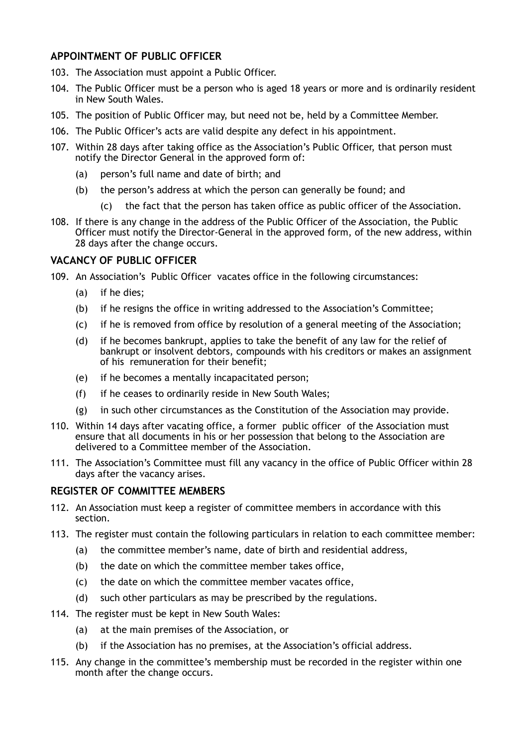# **APPOINTMENT OF PUBLIC OFFICER**

- 103. The Association must appoint a Public Officer.
- 104. The Public Officer must be a person who is aged 18 years or more and is ordinarily resident in New South Wales.
- 105. The position of Public Officer may, but need not be, held by a Committee Member.
- 106. The Public Officer's acts are valid despite any defect in his appointment.
- 107. Within 28 days after taking office as the Association's Public Officer, that person must notify the Director General in the approved form of:
	- (a) person's full name and date of birth; and
	- (b) the person's address at which the person can generally be found; and
		- (c) the fact that the person has taken office as public officer of the Association.
- 108. If there is any change in the address of the Public Officer of the Association, the Public Officer must notify the Director-General in the approved form, of the new address, within 28 days after the change occurs.

# **VACANCY OF PUBLIC OFFICER**

- 109. An [Association](http://www.austlii.edu.au/au/legis/nsw/consol_act/aia2009307/s4.html#association)'s [Public Officer](http://www.austlii.edu.au/cgi-bin/sinodisp/au/legis/nsw/consol_act/aia2009307/s4.html#public_officer) vacates office in the following circumstances:
	- (a) if he dies;
	- (b) if he resigns the office in writing addressed to the [Association](http://www.austlii.edu.au/au/legis/nsw/consol_act/aia2009307/s4.html#association)'s [Committee](http://www.austlii.edu.au/au/legis/nsw/consol_act/aia2009307/s4.html#committee);
	- (c) if he is removed from office by resolution of a general meeting of the [Association](http://www.austlii.edu.au/au/legis/nsw/consol_act/aia2009307/s4.html#association);
	- (d) if he becomes bankrupt, applies to take the benefit of any law for the relief of bankrupt or insolvent debtors, compounds with his creditors or makes an assignment of his remuneration for their benefit;
	- (e) if he becomes a mentally incapacitated person;
	- (f) if he ceases to ordinarily reside in New South Wales;
	- (g) in such other circumstances as the [Constitution](http://www.austlii.edu.au/au/legis/nsw/consol_act/aia2009307/s4.html#constitution) of the [Association](http://www.austlii.edu.au/au/legis/nsw/consol_act/aia2009307/s4.html#association) may provide.
- 110. Within 14 days after vacating office, a former [public officer](http://www.austlii.edu.au/cgi-bin/sinodisp/au/legis/nsw/consol_act/aia2009307/s4.html#public_officer) of the [Association](http://www.austlii.edu.au/au/legis/nsw/consol_act/aia2009307/s4.html#association) must ensure that all documents in his or her possession that belong to the [Association](http://www.austlii.edu.au/au/legis/nsw/consol_act/aia2009307/s4.html#association) are delivered to a [Committee member](http://www.austlii.edu.au/au/legis/nsw/consol_act/aia2009307/s4.html#committee_member) of the [Association](http://www.austlii.edu.au/au/legis/nsw/consol_act/aia2009307/s4.html#association).
- 111. The [Association](http://www.austlii.edu.au/au/legis/nsw/consol_act/aia2009307/s4.html#association)'s [Committee](http://www.austlii.edu.au/au/legis/nsw/consol_act/aia2009307/s4.html#committee) must fill any vacancy in the office of [Public Officer](http://www.austlii.edu.au/cgi-bin/sinodisp/au/legis/nsw/consol_act/aia2009307/s4.html#public_officer) within 28 days after the vacancy arises.

## **REGISTER OF COMMITTEE MEMBERS**

- 112. An Association must keep a register of committee members in accordance with this section.
- 113. The register must contain the following particulars in relation to each committee member:
	- (a) the committee member's name, date of birth and residential address,
	- (b) the date on which the committee member takes office,
	- (c) the date on which the committee member vacates office,
	- (d) such other particulars as may be prescribed by the regulations.
- 114. The register must be kept in New South Wales:
	- (a) at the main premises of the Association, or
	- (b) if the Association has no premises, at the Association's official address.
- 115. Any change in the committee's membership must be recorded in the register within one month after the change occurs.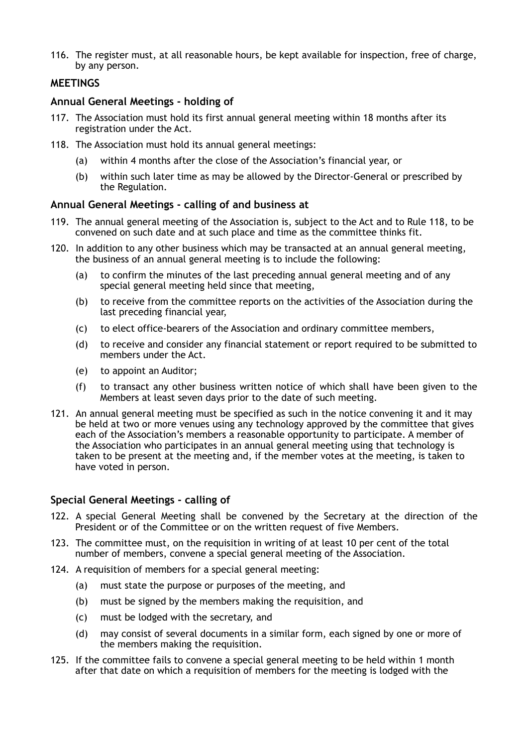116. The register must, at all reasonable hours, be kept available for inspection, free of charge, by any person.

## **MEETINGS**

## **Annual General Meetings - holding of**

- 117. The Association must hold its first annual general meeting within 18 months after its registration under the Act.
- 118. The Association must hold its annual general meetings:
	- (a) within 4 months after the close of the Association's financial year, or
	- (b) within such later time as may be allowed by the Director-General or prescribed by the Regulation.

## **Annual General Meetings - calling of and business at**

- 119. The annual general meeting of the Association is, subject to the Act and to Rule 118, to be convened on such date and at such place and time as the committee thinks fit.
- 120. In addition to any other business which may be transacted at an annual general meeting, the business of an annual general meeting is to include the following:
	- (a) to confirm the minutes of the last preceding annual general meeting and of any special general meeting held since that meeting,
	- (b) to receive from the committee reports on the activities of the Association during the last preceding financial year,
	- (c) to elect office-bearers of the Association and ordinary committee members,
	- (d) to receive and consider any financial statement or report required to be submitted to members under the Act.
	- (e) to appoint an Auditor;
	- (f) to transact any other business written notice of which shall have been given to the Members at least seven days prior to the date of such meeting.
- 121. An annual general meeting must be specified as such in the notice convening it and it may be held at two or more venues using any technology approved by the committee that gives each of the Association's members a reasonable opportunity to participate. A member of the Association who participates in an annual general meeting using that technology is taken to be present at the meeting and, if the member votes at the meeting, is taken to have voted in person.

## **Special General Meetings - calling of**

- 122. A special General Meeting shall be convened by the Secretary at the direction of the President or of the Committee or on the written request of five Members.
- 123. The committee must, on the requisition in writing of at least 10 per cent of the total number of members, convene a special general meeting of the Association.
- 124. A requisition of members for a special general meeting:
	- (a) must state the purpose or purposes of the meeting, and
	- (b) must be signed by the members making the requisition, and
	- (c) must be lodged with the secretary, and
	- (d) may consist of several documents in a similar form, each signed by one or more of the members making the requisition.
- 125. If the committee fails to convene a special general meeting to be held within 1 month after that date on which a requisition of members for the meeting is lodged with the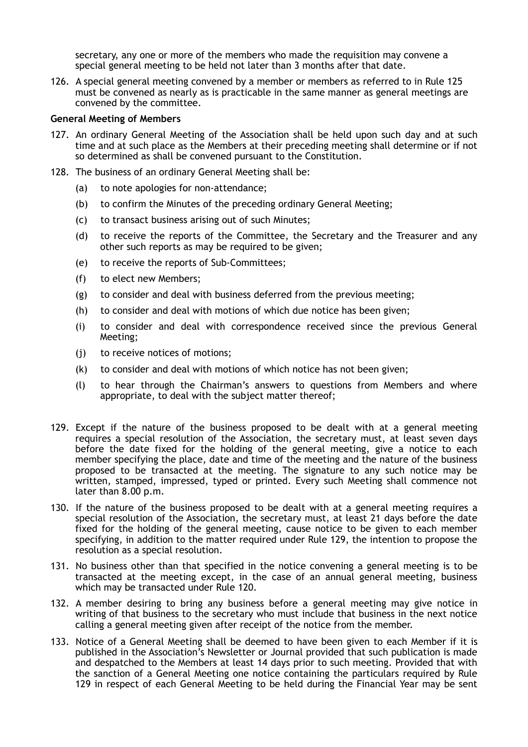secretary, any one or more of the members who made the requisition may convene a special general meeting to be held not later than 3 months after that date.

126. A special general meeting convened by a member or members as referred to in Rule 125 must be convened as nearly as is practicable in the same manner as general meetings are convened by the committee.

#### **General Meeting of Members**

- 127. An ordinary General Meeting of the Association shall be held upon such day and at such time and at such place as the Members at their preceding meeting shall determine or if not so determined as shall be convened pursuant to the Constitution.
- 128. The business of an ordinary General Meeting shall be:
	- (a) to note apologies for non-attendance;
	- (b) to confirm the Minutes of the preceding ordinary General Meeting;
	- (c) to transact business arising out of such Minutes;
	- (d) to receive the reports of the Committee, the Secretary and the Treasurer and any other such reports as may be required to be given;
	- (e) to receive the reports of Sub-Committees;
	- (f) to elect new Members;
	- (g) to consider and deal with business deferred from the previous meeting;
	- (h) to consider and deal with motions of which due notice has been given;
	- (i) to consider and deal with correspondence received since the previous General Meeting;
	- (j) to receive notices of motions;
	- (k) to consider and deal with motions of which notice has not been given;
	- (l) to hear through the Chairman's answers to questions from Members and where appropriate, to deal with the subject matter thereof;
- 129. Except if the nature of the business proposed to be dealt with at a general meeting requires a special resolution of the Association, the secretary must, at least seven days before the date fixed for the holding of the general meeting, give a notice to each member specifying the place, date and time of the meeting and the nature of the business proposed to be transacted at the meeting. The signature to any such notice may be written, stamped, impressed, typed or printed. Every such Meeting shall commence not later than 8.00 p.m.
- 130. If the nature of the business proposed to be dealt with at a general meeting requires a special resolution of the Association, the secretary must, at least 21 days before the date fixed for the holding of the general meeting, cause notice to be given to each member specifying, in addition to the matter required under Rule 129, the intention to propose the resolution as a special resolution.
- 131. No business other than that specified in the notice convening a general meeting is to be transacted at the meeting except, in the case of an annual general meeting, business which may be transacted under Rule 120.
- 132. A member desiring to bring any business before a general meeting may give notice in writing of that business to the secretary who must include that business in the next notice calling a general meeting given after receipt of the notice from the member.
- 133. Notice of a General Meeting shall be deemed to have been given to each Member if it is published in the Association's Newsletter or Journal provided that such publication is made and despatched to the Members at least 14 days prior to such meeting. Provided that with the sanction of a General Meeting one notice containing the particulars required by Rule 129 in respect of each General Meeting to be held during the Financial Year may be sent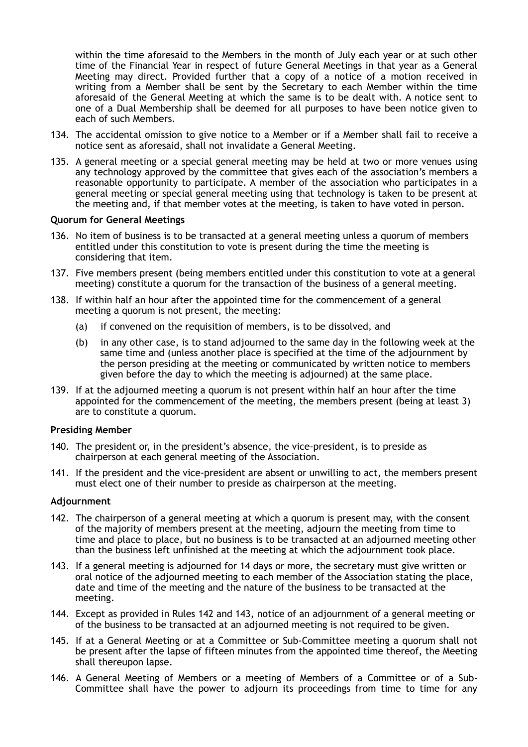within the time aforesaid to the Members in the month of July each year or at such other time of the Financial Year in respect of future General Meetings in that year as a General Meeting may direct. Provided further that a copy of a notice of a motion received in writing from a Member shall be sent by the Secretary to each Member within the time aforesaid of the General Meeting at which the same is to be dealt with. A notice sent to one of a Dual Membership shall be deemed for all purposes to have been notice given to each of such Members.

- 134. The accidental omission to give notice to a Member or if a Member shall fail to receive a notice sent as aforesaid, shall not invalidate a General Meeting.
- 135. A general meeting or a special general meeting may be held at two or more venues using any technology approved by the committee that gives each of the association's members a reasonable opportunity to participate. A member of the association who participates in a general meeting or special general meeting using that technology is taken to be present at the meeting and, if that member votes at the meeting, is taken to have voted in person.

#### **Quorum for General Meetings**

- 136. No item of business is to be transacted at a general meeting unless a quorum of members entitled under this constitution to vote is present during the time the meeting is considering that item.
- 137. Five members present (being members entitled under this constitution to vote at a general meeting) constitute a quorum for the transaction of the business of a general meeting.
- 138. If within half an hour after the appointed time for the commencement of a general meeting a quorum is not present, the meeting:
	- (a) if convened on the requisition of members, is to be dissolved, and
	- (b) in any other case, is to stand adjourned to the same day in the following week at the same time and (unless another place is specified at the time of the adjournment by the person presiding at the meeting or communicated by written notice to members given before the day to which the meeting is adjourned) at the same place.
- 139. If at the adjourned meeting a quorum is not present within half an hour after the time appointed for the commencement of the meeting, the members present (being at least 3) are to constitute a quorum.

#### **Presiding Member**

- 140. The president or, in the president's absence, the vice-president, is to preside as chairperson at each general meeting of the Association.
- 141. If the president and the vice-president are absent or unwilling to act, the members present must elect one of their number to preside as chairperson at the meeting.

#### **Adjournment**

- 142. The chairperson of a general meeting at which a quorum is present may, with the consent of the majority of members present at the meeting, adjourn the meeting from time to time and place to place, but no business is to be transacted at an adjourned meeting other than the business left unfinished at the meeting at which the adjournment took place.
- 143. If a general meeting is adjourned for 14 days or more, the secretary must give written or oral notice of the adjourned meeting to each member of the Association stating the place, date and time of the meeting and the nature of the business to be transacted at the meeting.
- 144. Except as provided in Rules 142 and 143, notice of an adjournment of a general meeting or of the business to be transacted at an adjourned meeting is not required to be given.
- 145. If at a General Meeting or at a Committee or Sub-Committee meeting a quorum shall not be present after the lapse of fifteen minutes from the appointed time thereof, the Meeting shall thereupon lapse.
- 146. A General Meeting of Members or a meeting of Members of a Committee or of a Sub-Committee shall have the power to adjourn its proceedings from time to time for any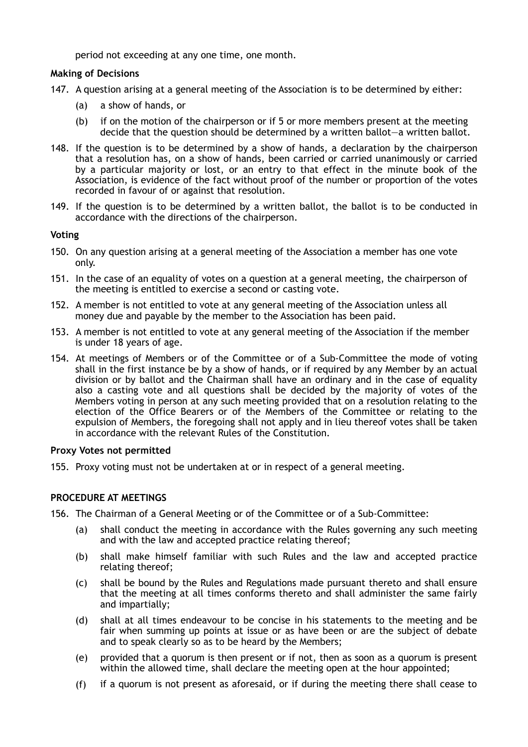period not exceeding at any one time, one month.

### **Making of Decisions**

- 147. A question arising at a general meeting of the Association is to be determined by either:
	- (a) a show of hands, or
	- (b) if on the motion of the chairperson or if 5 or more members present at the meeting decide that the question should be determined by a written ballot—a written ballot.
- 148. If the question is to be determined by a show of hands, a declaration by the chairperson that a resolution has, on a show of hands, been carried or carried unanimously or carried by a particular majority or lost, or an entry to that effect in the minute book of the Association, is evidence of the fact without proof of the number or proportion of the votes recorded in favour of or against that resolution.
- 149. If the question is to be determined by a written ballot, the ballot is to be conducted in accordance with the directions of the chairperson.

### **Voting**

- 150. On any question arising at a general meeting of the Association a member has one vote only.
- 151. In the case of an equality of votes on a question at a general meeting, the chairperson of the meeting is entitled to exercise a second or casting vote.
- 152. A member is not entitled to vote at any general meeting of the Association unless all money due and payable by the member to the Association has been paid.
- 153. A member is not entitled to vote at any general meeting of the Association if the member is under 18 years of age.
- 154. At meetings of Members or of the Committee or of a Sub-Committee the mode of voting shall in the first instance be by a show of hands, or if required by any Member by an actual division or by ballot and the Chairman shall have an ordinary and in the case of equality also a casting vote and all questions shall be decided by the majority of votes of the Members voting in person at any such meeting provided that on a resolution relating to the election of the Office Bearers or of the Members of the Committee or relating to the expulsion of Members, the foregoing shall not apply and in lieu thereof votes shall be taken in accordance with the relevant Rules of the Constitution.

#### **Proxy Votes not permitted**

155. Proxy voting must not be undertaken at or in respect of a general meeting.

## **PROCEDURE AT MEETINGS**

156. The Chairman of a General Meeting or of the Committee or of a Sub-Committee:

- (a) shall conduct the meeting in accordance with the Rules governing any such meeting and with the law and accepted practice relating thereof;
- (b) shall make himself familiar with such Rules and the law and accepted practice relating thereof;
- (c) shall be bound by the Rules and Regulations made pursuant thereto and shall ensure that the meeting at all times conforms thereto and shall administer the same fairly and impartially;
- (d) shall at all times endeavour to be concise in his statements to the meeting and be fair when summing up points at issue or as have been or are the subject of debate and to speak clearly so as to be heard by the Members;
- (e) provided that a quorum is then present or if not, then as soon as a quorum is present within the allowed time, shall declare the meeting open at the hour appointed;
- (f) if a quorum is not present as aforesaid, or if during the meeting there shall cease to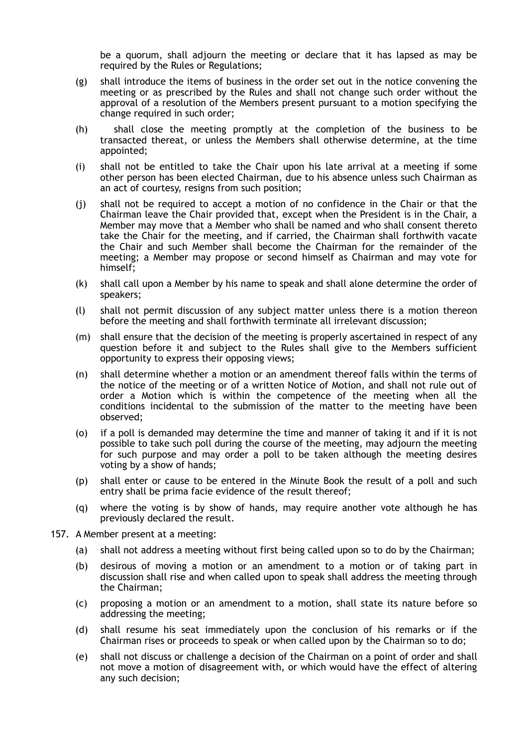be a quorum, shall adjourn the meeting or declare that it has lapsed as may be required by the Rules or Regulations;

- (g) shall introduce the items of business in the order set out in the notice convening the meeting or as prescribed by the Rules and shall not change such order without the approval of a resolution of the Members present pursuant to a motion specifying the change required in such order;
- (h) shall close the meeting promptly at the completion of the business to be transacted thereat, or unless the Members shall otherwise determine, at the time appointed;
- (i) shall not be entitled to take the Chair upon his late arrival at a meeting if some other person has been elected Chairman, due to his absence unless such Chairman as an act of courtesy, resigns from such position;
- (j) shall not be required to accept a motion of no confidence in the Chair or that the Chairman leave the Chair provided that, except when the President is in the Chair, a Member may move that a Member who shall be named and who shall consent thereto take the Chair for the meeting, and if carried, the Chairman shall forthwith vacate the Chair and such Member shall become the Chairman for the remainder of the meeting; a Member may propose or second himself as Chairman and may vote for himself;
- (k) shall call upon a Member by his name to speak and shall alone determine the order of speakers;
- (l) shall not permit discussion of any subject matter unless there is a motion thereon before the meeting and shall forthwith terminate all irrelevant discussion;
- (m) shall ensure that the decision of the meeting is properly ascertained in respect of any question before it and subject to the Rules shall give to the Members sufficient opportunity to express their opposing views;
- (n) shall determine whether a motion or an amendment thereof falls within the terms of the notice of the meeting or of a written Notice of Motion, and shall not rule out of order a Motion which is within the competence of the meeting when all the conditions incidental to the submission of the matter to the meeting have been observed;
- (o) if a poll is demanded may determine the time and manner of taking it and if it is not possible to take such poll during the course of the meeting, may adjourn the meeting for such purpose and may order a poll to be taken although the meeting desires voting by a show of hands;
- (p) shall enter or cause to be entered in the Minute Book the result of a poll and such entry shall be prima facie evidence of the result thereof;
- (q) where the voting is by show of hands, may require another vote although he has previously declared the result.
- 157. A Member present at a meeting:
	- (a) shall not address a meeting without first being called upon so to do by the Chairman;
	- (b) desirous of moving a motion or an amendment to a motion or of taking part in discussion shall rise and when called upon to speak shall address the meeting through the Chairman;
	- (c) proposing a motion or an amendment to a motion, shall state its nature before so addressing the meeting;
	- (d) shall resume his seat immediately upon the conclusion of his remarks or if the Chairman rises or proceeds to speak or when called upon by the Chairman so to do;
	- (e) shall not discuss or challenge a decision of the Chairman on a point of order and shall not move a motion of disagreement with, or which would have the effect of altering any such decision;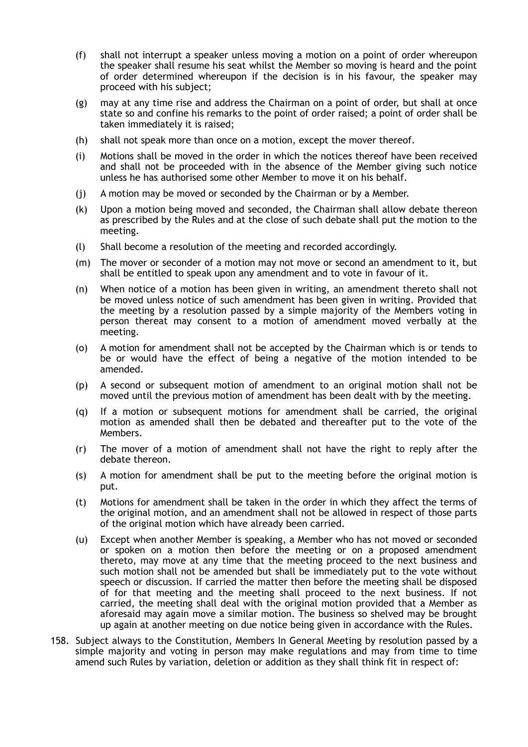- (f) shall not interrupt a speaker unless moving a motion on a point of order whereupon the speaker shall resume his seat whilst the Member so moving is heard and the point of order determined whereupon if the decision is in his favour, the speaker may proceed with his subject;
- (g) may at any time rise and address the Chairman on a point of order, but shall at once state so and confine his remarks to the point of order raised; a point of order shall be taken immediately it is raised;
- (h) shall not speak more than once on a motion, except the mover thereof.
- (i) Motions shall be moved in the order in which the notices thereof have been received and shall not be proceeded with in the absence of the Member giving such notice unless he has authorised some other Member to move it on his behalf.
- (j) A motion may be moved or seconded by the Chairman or by a Member.
- (k) Upon a motion being moved and seconded, the Chairman shall allow debate thereon as prescribed by the Rules and at the close of such debate shall put the motion to the meeting.
- (l) Shall become a resolution of the meeting and recorded accordingly.
- (m) The mover or seconder of a motion may not move or second an amendment to it, but shall be entitled to speak upon any amendment and to vote in favour of it.
- (n) When notice of a motion has been given in writing, an amendment thereto shall not be moved unless notice of such amendment has been given in writing. Provided that the meeting by a resolution passed by a simple majority of the Members voting in person thereat may consent to a motion of amendment moved verbally at the meeting.
- (o) A motion for amendment shall not be accepted by the Chairman which is or tends to be or would have the effect of being a negative of the motion intended to be amended.
- (p) A second or subsequent motion of amendment to an original motion shall not be moved until the previous motion of amendment has been dealt with by the meeting.
- (q) If a motion or subsequent motions for amendment shall be carried, the original motion as amended shall then be debated and thereafter put to the vote of the Members.
- (r) The mover of a motion of amendment shall not have the right to reply after the debate thereon.
- (s) A motion for amendment shall be put to the meeting before the original motion is put.
- (t) Motions for amendment shall be taken in the order in which they affect the terms of the original motion, and an amendment shall not be allowed in respect of those parts of the original motion which have already been carried.
- (u) Except when another Member is speaking, a Member who has not moved or seconded or spoken on a motion then before the meeting or on a proposed amendment thereto, may move at any time that the meeting proceed to the next business and such motion shall not be amended but shall be immediately put to the vote without speech or discussion. If carried the matter then before the meeting shall be disposed of for that meeting and the meeting shall proceed to the next business. If not carried, the meeting shall deal with the original motion provided that a Member as aforesaid may again move a similar motion. The business so shelved may be brought up again at another meeting on due notice being given in accordance with the Rules.
- 158. Subject always to the Constitution, Members In General Meeting by resolution passed by a simple majority and voting in person may make regulations and may from time to time amend such Rules by variation, deletion or addition as they shall think fit in respect of: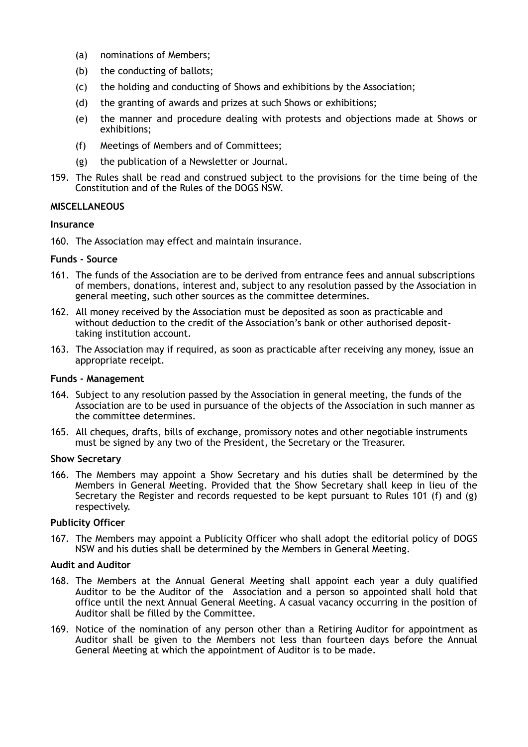- (a) nominations of Members;
- (b) the conducting of ballots;
- (c) the holding and conducting of Shows and exhibitions by the Association;
- (d) the granting of awards and prizes at such Shows or exhibitions;
- (e) the manner and procedure dealing with protests and objections made at Shows or exhibitions;
- (f) Meetings of Members and of Committees;
- (g) the publication of a Newsletter or Journal.
- 159. The Rules shall be read and construed subject to the provisions for the time being of the Constitution and of the Rules of the DOGS NSW.

#### **MISCELLANEOUS**

#### **Insurance**

160. The Association may effect and maintain insurance.

#### **Funds - Source**

- 161. The funds of the Association are to be derived from entrance fees and annual subscriptions of members, donations, interest and, subject to any resolution passed by the Association in general meeting, such other sources as the committee determines.
- 162. All money received by the Association must be deposited as soon as practicable and without deduction to the credit of the Association's bank or other authorised deposittaking institution account.
- 163. The Association may if required, as soon as practicable after receiving any money, issue an appropriate receipt.

#### **Funds - Management**

- 164. Subject to any resolution passed by the Association in general meeting, the funds of the Association are to be used in pursuance of the objects of the Association in such manner as the committee determines.
- 165. All cheques, drafts, bills of exchange, promissory notes and other negotiable instruments must be signed by any two of the President, the Secretary or the Treasurer.

#### **Show Secretary**

166. The Members may appoint a Show Secretary and his duties shall be determined by the Members in General Meeting. Provided that the Show Secretary shall keep in lieu of the Secretary the Register and records requested to be kept pursuant to Rules 101 (f) and (g) respectively.

#### **Publicity Officer**

167. The Members may appoint a Publicity Officer who shall adopt the editorial policy of DOGS NSW and his duties shall be determined by the Members in General Meeting.

#### **Audit and Auditor**

- 168. The Members at the Annual General Meeting shall appoint each year a duly qualified Auditor to be the Auditor of the Association and a person so appointed shall hold that office until the next Annual General Meeting. A casual vacancy occurring in the position of Auditor shall be filled by the Committee.
- 169. Notice of the nomination of any person other than a Retiring Auditor for appointment as Auditor shall be given to the Members not less than fourteen days before the Annual General Meeting at which the appointment of Auditor is to be made.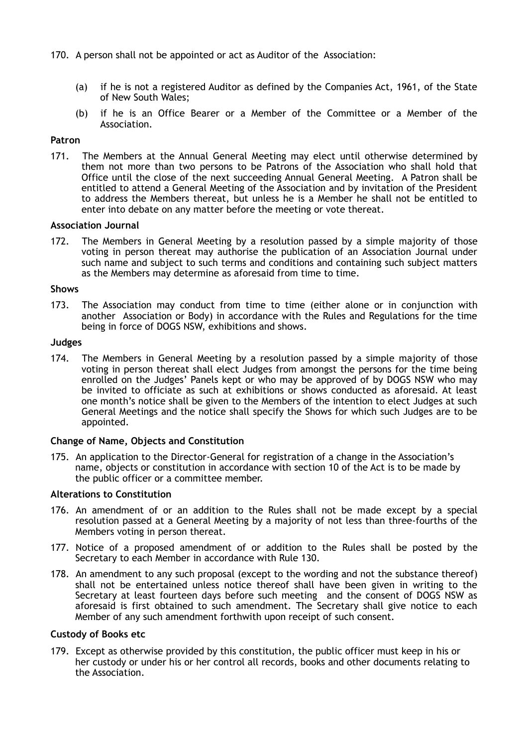- 170. A person shall not be appointed or act as Auditor of the Association:
	- (a) if he is not a registered Auditor as defined by the Companies Act, 1961, of the State of New South Wales;
	- (b) if he is an Office Bearer or a Member of the Committee or a Member of the Association.

#### **Patron**

171. The Members at the Annual General Meeting may elect until otherwise determined by them not more than two persons to be Patrons of the Association who shall hold that Office until the close of the next succeeding Annual General Meeting. A Patron shall be entitled to attend a General Meeting of the Association and by invitation of the President to address the Members thereat, but unless he is a Member he shall not be entitled to enter into debate on any matter before the meeting or vote thereat.

#### **Association Journal**

172. The Members in General Meeting by a resolution passed by a simple majority of those voting in person thereat may authorise the publication of an Association Journal under such name and subject to such terms and conditions and containing such subject matters as the Members may determine as aforesaid from time to time.

#### **Shows**

173. The Association may conduct from time to time (either alone or in conjunction with another Association or Body) in accordance with the Rules and Regulations for the time being in force of DOGS NSW, exhibitions and shows.

#### **Judges**

174. The Members in General Meeting by a resolution passed by a simple majority of those voting in person thereat shall elect Judges from amongst the persons for the time being enrolled on the Judges' Panels kept or who may be approved of by DOGS NSW who may be invited to officiate as such at exhibitions or shows conducted as aforesaid. At least one month's notice shall be given to the Members of the intention to elect Judges at such General Meetings and the notice shall specify the Shows for which such Judges are to be appointed.

#### **Change of Name, Objects and Constitution**

175. An application to the Director-General for registration of a change in the Association's name, objects or constitution in accordance with section 10 of the Act is to be made by the public officer or a committee member.

#### **Alterations to Constitution**

- 176. An amendment of or an addition to the Rules shall not be made except by a special resolution passed at a General Meeting by a majority of not less than three-fourths of the Members voting in person thereat.
- 177. Notice of a proposed amendment of or addition to the Rules shall be posted by the Secretary to each Member in accordance with Rule 130.
- 178. An amendment to any such proposal (except to the wording and not the substance thereof) shall not be entertained unless notice thereof shall have been given in writing to the Secretary at least fourteen days before such meeting and the consent of DOGS NSW as aforesaid is first obtained to such amendment. The Secretary shall give notice to each Member of any such amendment forthwith upon receipt of such consent.

#### **Custody of Books etc**

179. Except as otherwise provided by this constitution, the public officer must keep in his or her custody or under his or her control all records, books and other documents relating to the Association.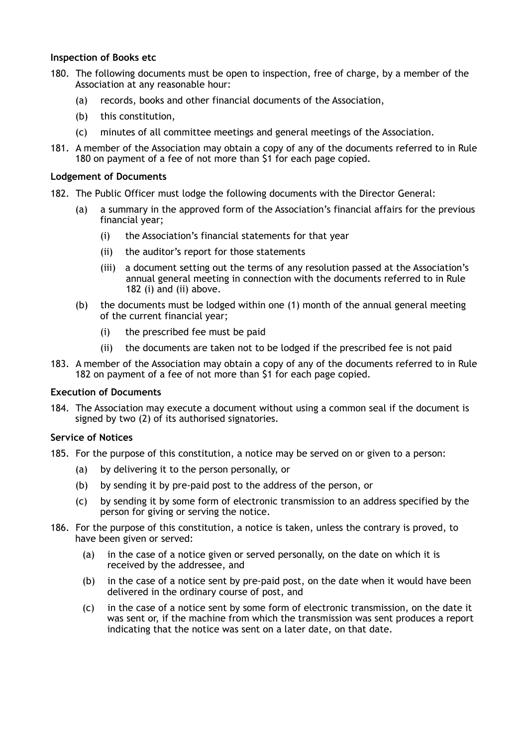### **Inspection of Books etc**

- 180. The following documents must be open to inspection, free of charge, by a member of the Association at any reasonable hour:
	- (a) records, books and other financial documents of the Association,
	- (b) this constitution,
	- (c) minutes of all committee meetings and general meetings of the Association.
- 181. A member of the Association may obtain a copy of any of the documents referred to in Rule 180 on payment of a fee of not more than \$1 for each page copied.

#### **Lodgement of Documents**

- 182. The Public Officer must lodge the following documents with the Director General:
	- (a) a summary in the approved form of the Association's financial affairs for the previous financial year;
		- (i) the Association's financial statements for that year
		- (ii) the auditor's report for those statements
		- (iii) a document setting out the terms of any resolution passed at the Association's annual general meeting in connection with the documents referred to in Rule 182 (i) and (ii) above.
	- (b) the documents must be lodged within one (1) month of the annual general meeting of the current financial year;
		- (i) the prescribed fee must be paid
		- (ii) the documents are taken not to be lodged if the prescribed fee is not paid
- 183. A member of the Association may obtain a copy of any of the documents referred to in Rule 182 on payment of a fee of not more than \$1 for each page copied.

#### **Execution of Documents**

184. The Association may execute a document without using a common seal if the document is signed by two (2) of its authorised signatories.

#### **Service of Notices**

- 185. For the purpose of this constitution, a notice may be served on or given to a person:
	- (a) by delivering it to the person personally, or
	- (b) by sending it by pre-paid post to the address of the person, or
	- (c) by sending it by some form of electronic transmission to an address specified by the person for giving or serving the notice.
- 186. For the purpose of this constitution, a notice is taken, unless the contrary is proved, to have been given or served:
	- (a) in the case of a notice given or served personally, on the date on which it is received by the addressee, and
	- (b) in the case of a notice sent by pre-paid post, on the date when it would have been delivered in the ordinary course of post, and
	- (c) in the case of a notice sent by some form of electronic transmission, on the date it was sent or, if the machine from which the transmission was sent produces a report indicating that the notice was sent on a later date, on that date.